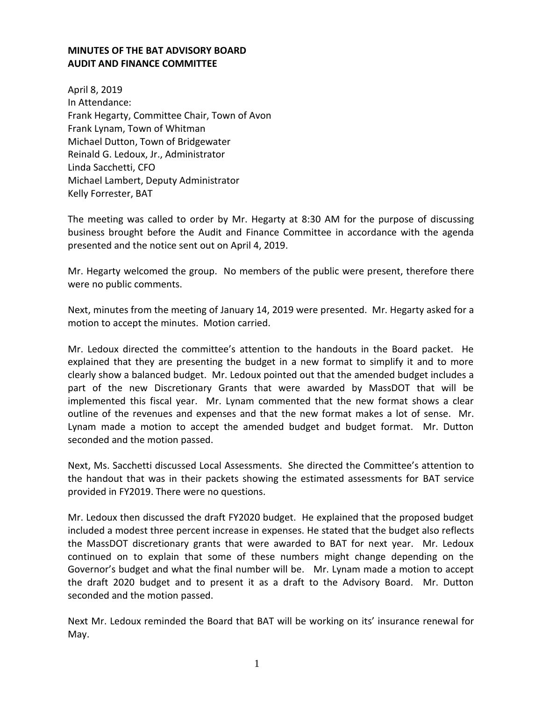## **MINUTES OF THE BAT ADVISORY BOARD AUDIT AND FINANCE COMMITTEE**

April 8, 2019 In Attendance: Frank Hegarty, Committee Chair, Town of Avon Frank Lynam, Town of Whitman Michael Dutton, Town of Bridgewater Reinald G. Ledoux, Jr., Administrator Linda Sacchetti, CFO Michael Lambert, Deputy Administrator Kelly Forrester, BAT

The meeting was called to order by Mr. Hegarty at 8:30 AM for the purpose of discussing business brought before the Audit and Finance Committee in accordance with the agenda presented and the notice sent out on April 4, 2019.

Mr. Hegarty welcomed the group. No members of the public were present, therefore there were no public comments.

Next, minutes from the meeting of January 14, 2019 were presented. Mr. Hegarty asked for a motion to accept the minutes. Motion carried.

Mr. Ledoux directed the committee's attention to the handouts in the Board packet. He explained that they are presenting the budget in a new format to simplify it and to more clearly show a balanced budget. Mr. Ledoux pointed out that the amended budget includes a part of the new Discretionary Grants that were awarded by MassDOT that will be implemented this fiscal year. Mr. Lynam commented that the new format shows a clear outline of the revenues and expenses and that the new format makes a lot of sense. Mr. Lynam made a motion to accept the amended budget and budget format. Mr. Dutton seconded and the motion passed.

Next, Ms. Sacchetti discussed Local Assessments. She directed the Committee's attention to the handout that was in their packets showing the estimated assessments for BAT service provided in FY2019. There were no questions.

Mr. Ledoux then discussed the draft FY2020 budget. He explained that the proposed budget included a modest three percent increase in expenses. He stated that the budget also reflects the MassDOT discretionary grants that were awarded to BAT for next year. Mr. Ledoux continued on to explain that some of these numbers might change depending on the Governor's budget and what the final number will be. Mr. Lynam made a motion to accept the draft 2020 budget and to present it as a draft to the Advisory Board. Mr. Dutton seconded and the motion passed.

Next Mr. Ledoux reminded the Board that BAT will be working on its' insurance renewal for May.